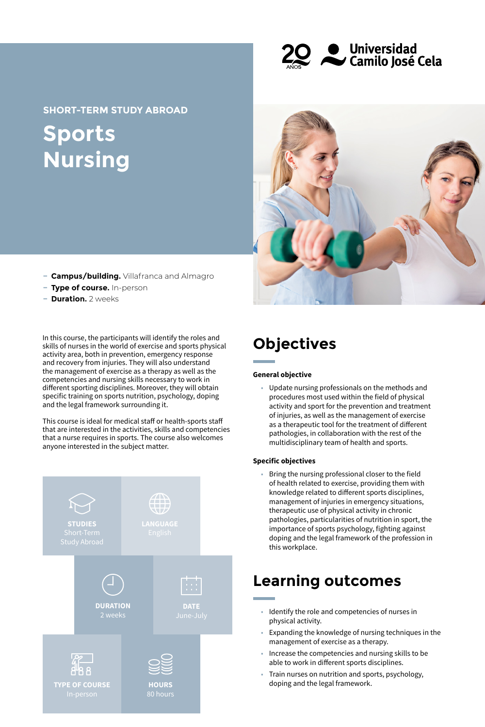**Q** Universidad<br>
Camilo José Cela

**Sports Nursing SHORT-TERM STUDY ABROAD**

- **− Campus/building.** Villafranca and Almagro
- **− Type of course.** In-person
- **− Duration.** 2 weeks

In this course, the participants will identify the roles and skills of nurses in the world of exercise and sports physical activity area, both in prevention, emergency response and recovery from injuries. They will also understand the management of exercise as a therapy as well as the competencies and nursing skills necessary to work in different sporting disciplines. Moreover, they will obtain specific training on sports nutrition, psychology, doping and the legal framework surrounding it.

This course is ideal for medical staff or health-sports staff that are interested in the activities, skills and competencies that a nurse requires in sports. The course also welcomes anyone interested in the subject matter.





# **Objectives**

#### **General objective**

• Update nursing professionals on the methods and procedures most used within the field of physical activity and sport for the prevention and treatment of injuries, as well as the management of exercise as a therapeutic tool for the treatment of different pathologies, in collaboration with the rest of the multidisciplinary team of health and sports.

#### **Specific objectives**

• Bring the nursing professional closer to the field of health related to exercise, providing them with knowledge related to different sports disciplines, management of injuries in emergency situations, therapeutic use of physical activity in chronic pathologies, particularities of nutrition in sport, the importance of sports psychology, fighting against doping and the legal framework of the profession in this workplace.

### **Learning outcomes**

- Identify the role and competencies of nurses in physical activity.
- Expanding the knowledge of nursing techniques in the management of exercise as a therapy.
- Increase the competencies and nursing skills to be able to work in different sports disciplines.
- Train nurses on nutrition and sports, psychology, doping and the legal framework.